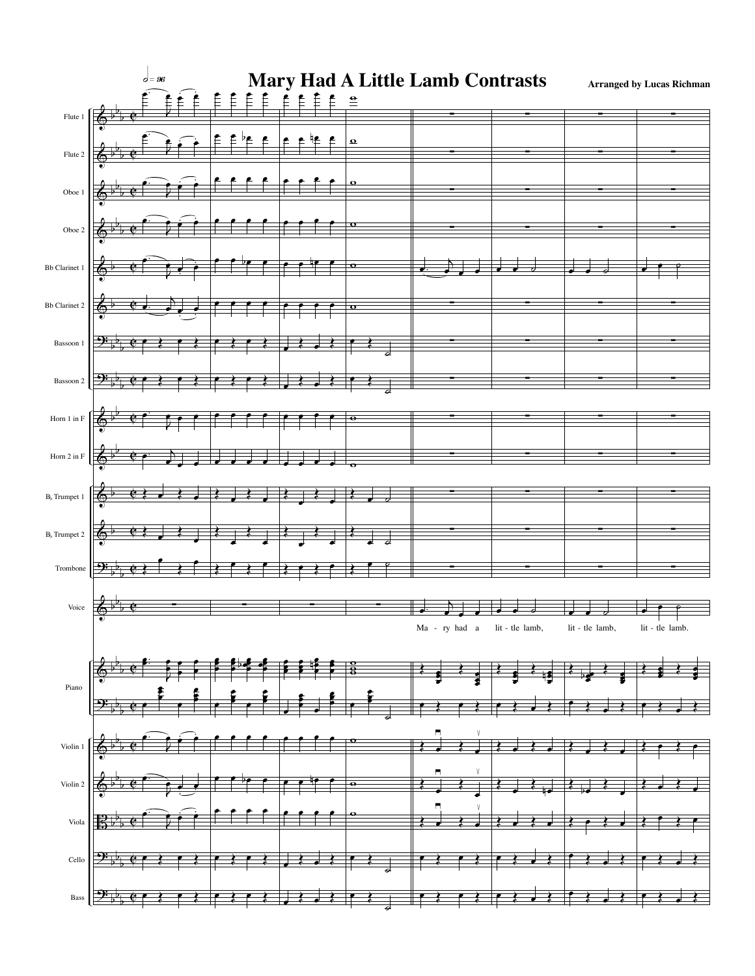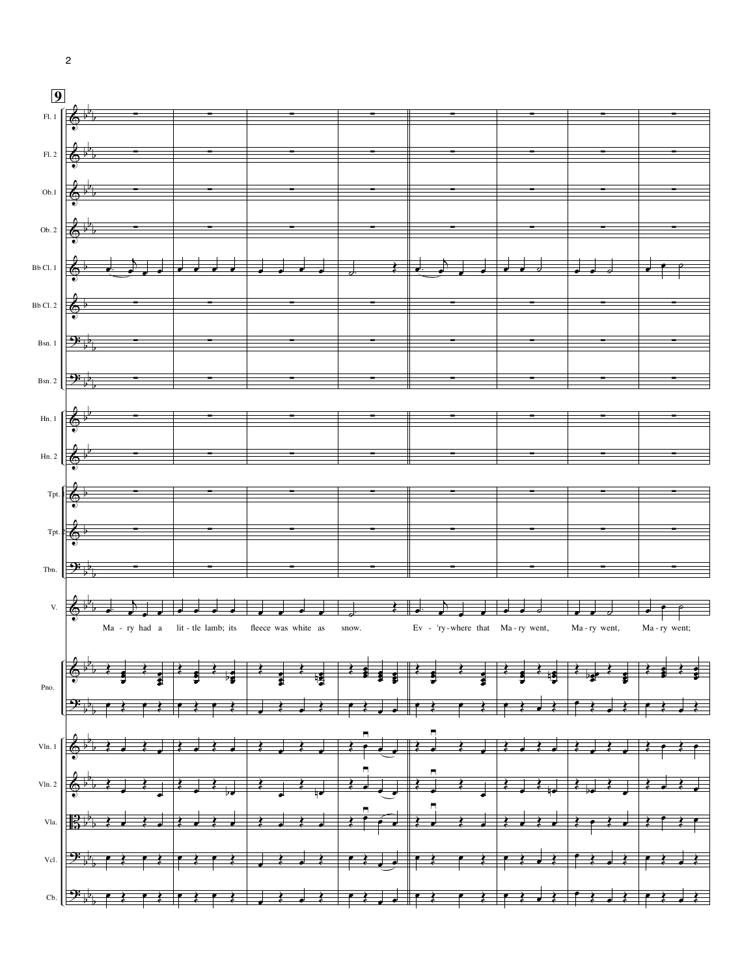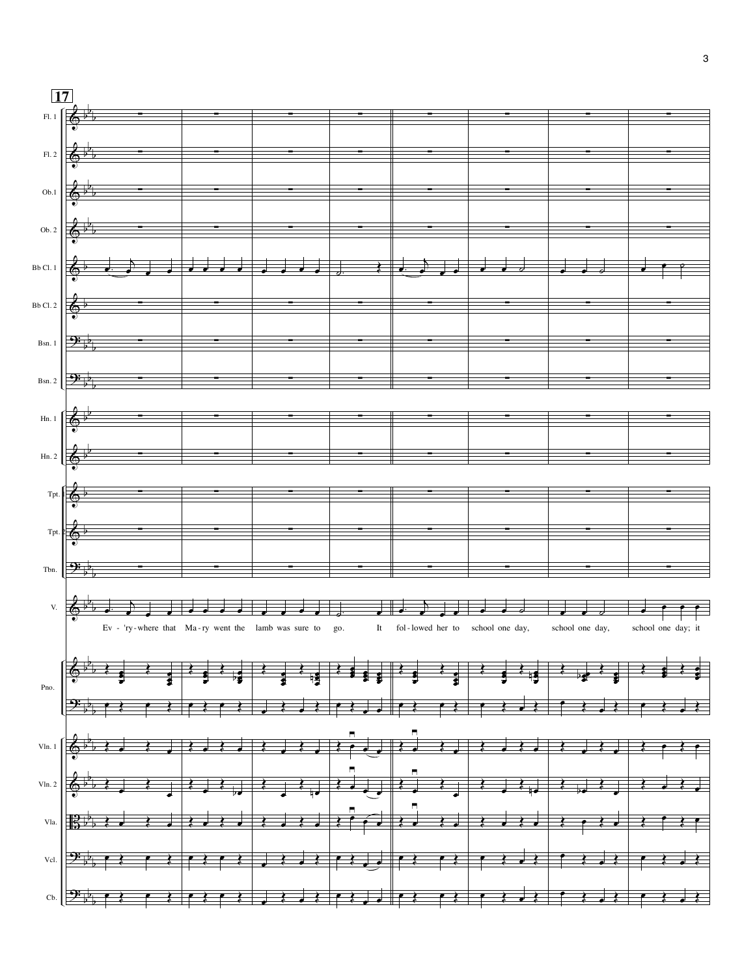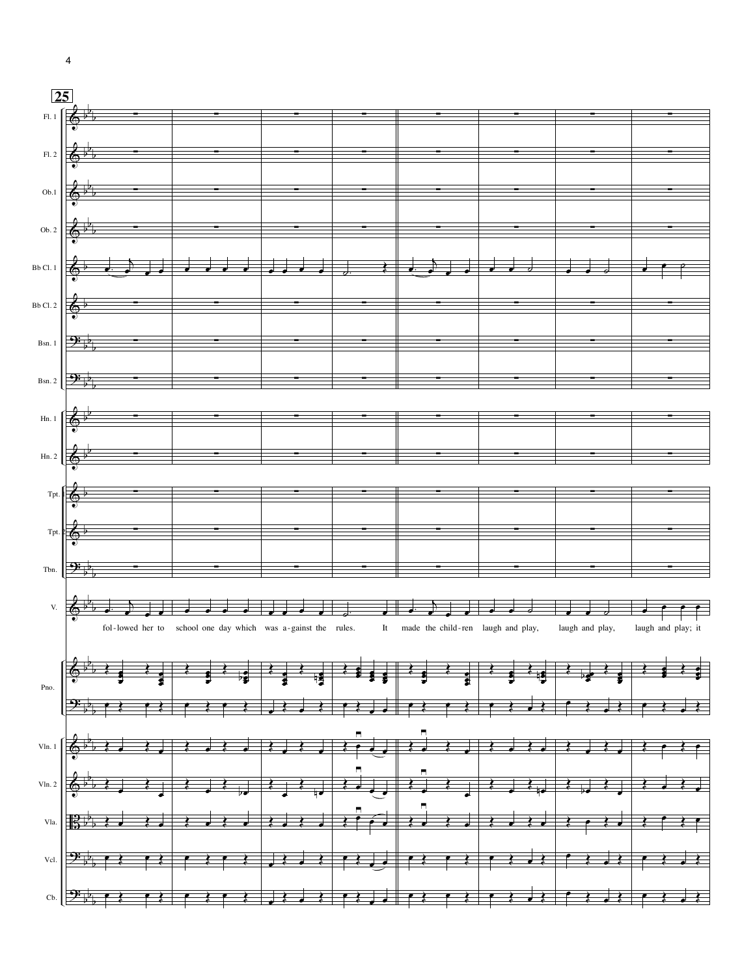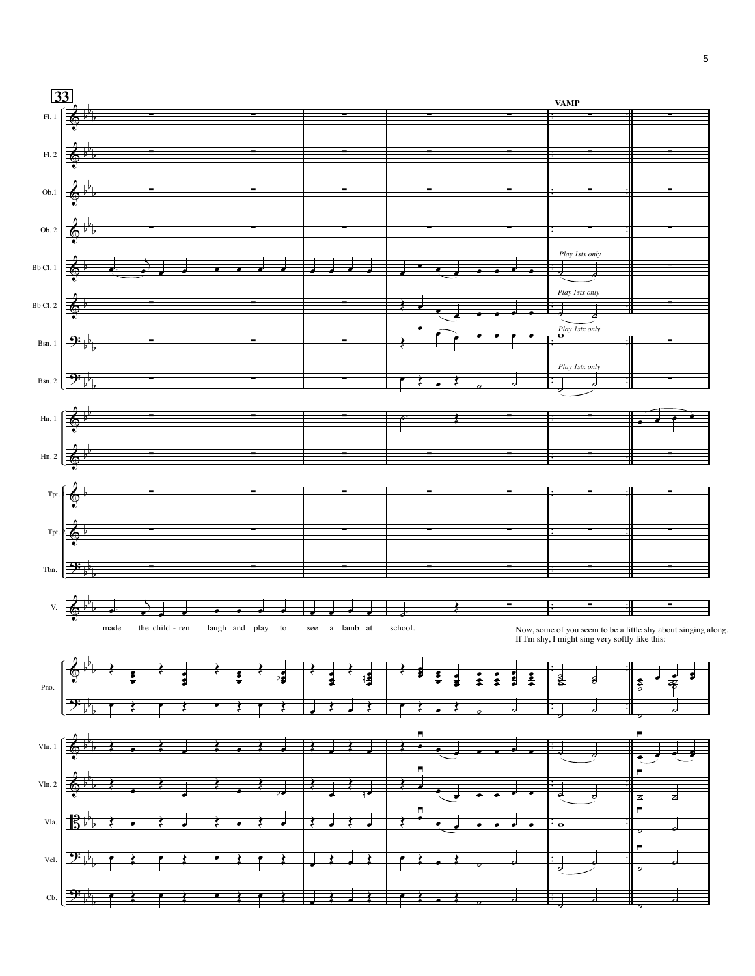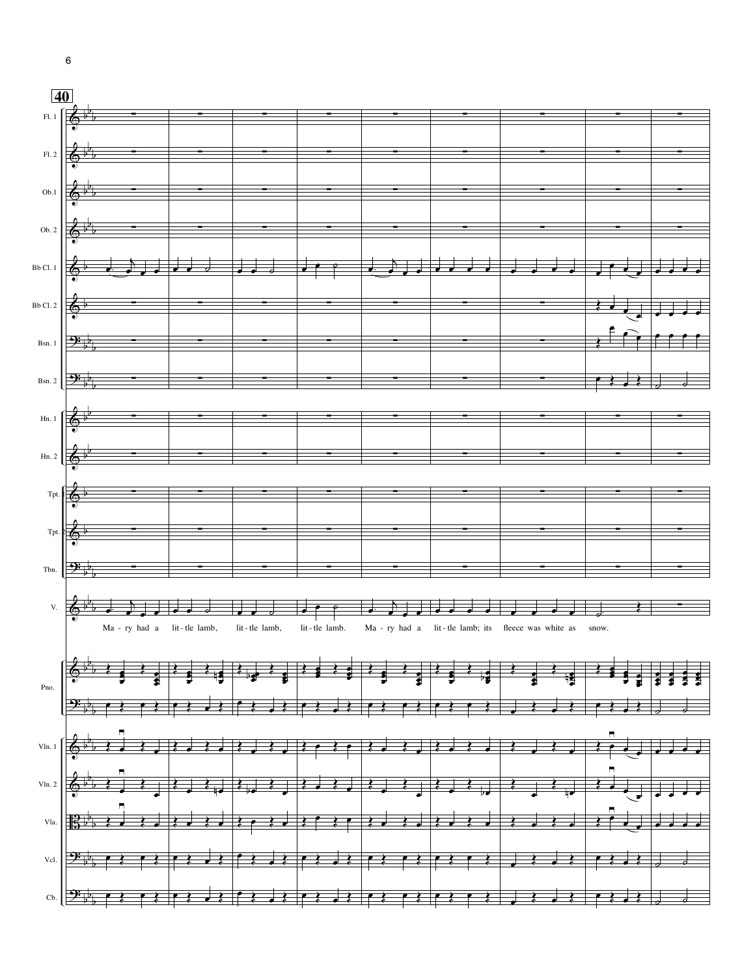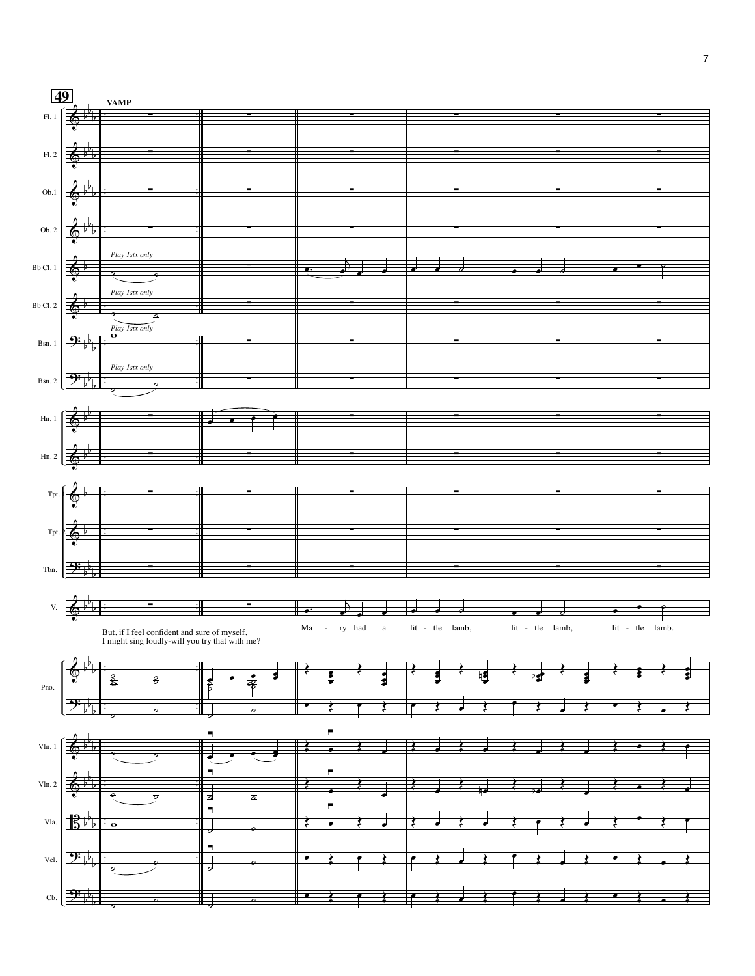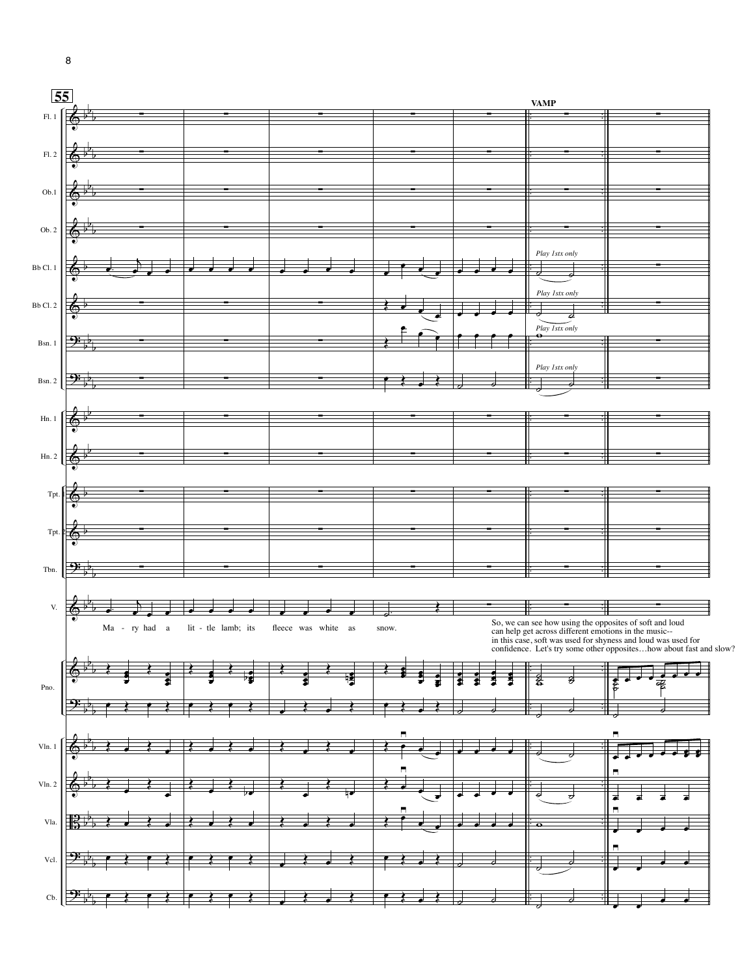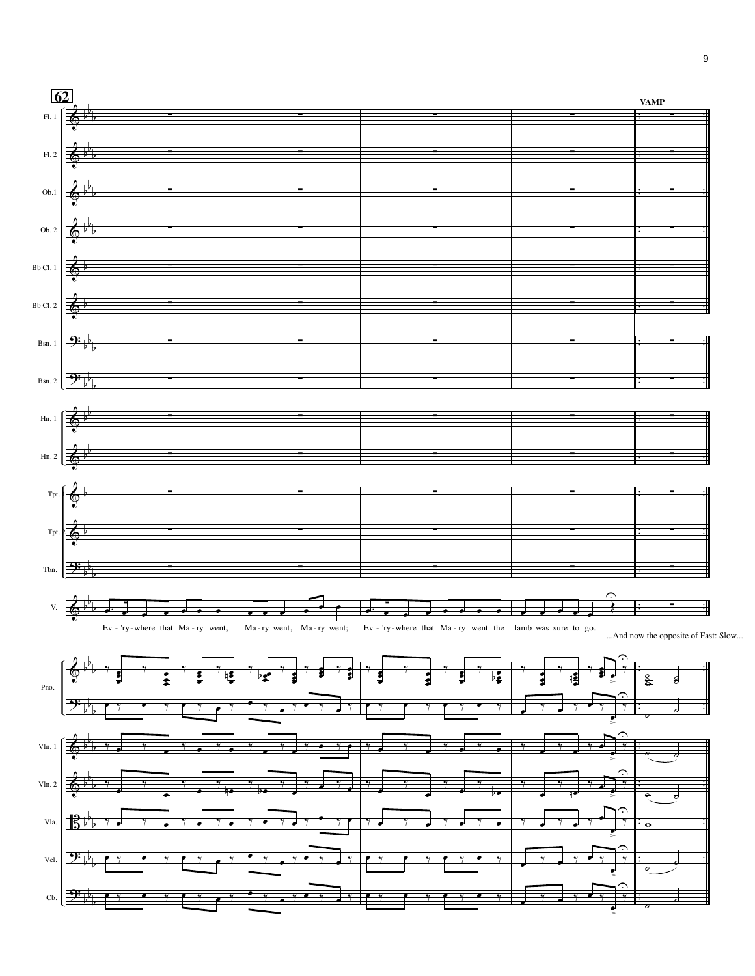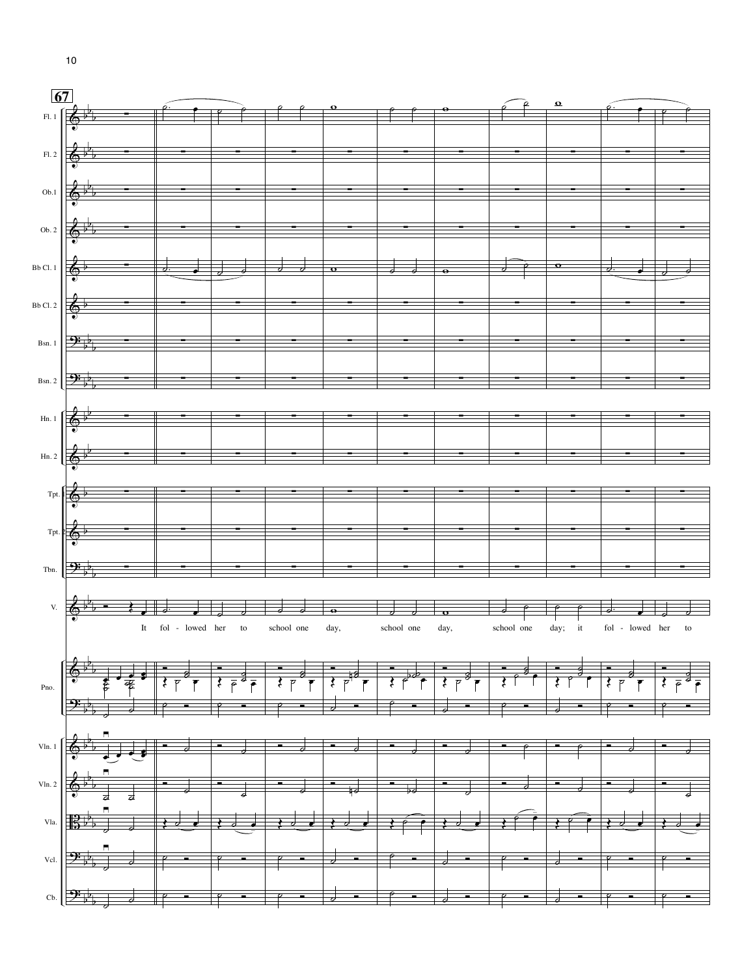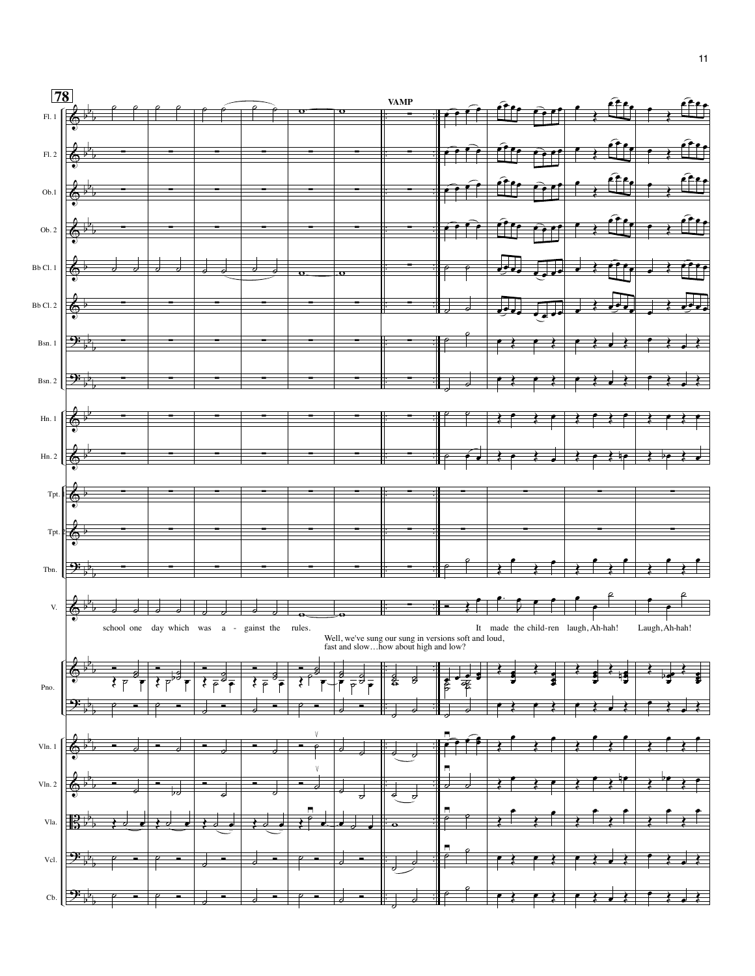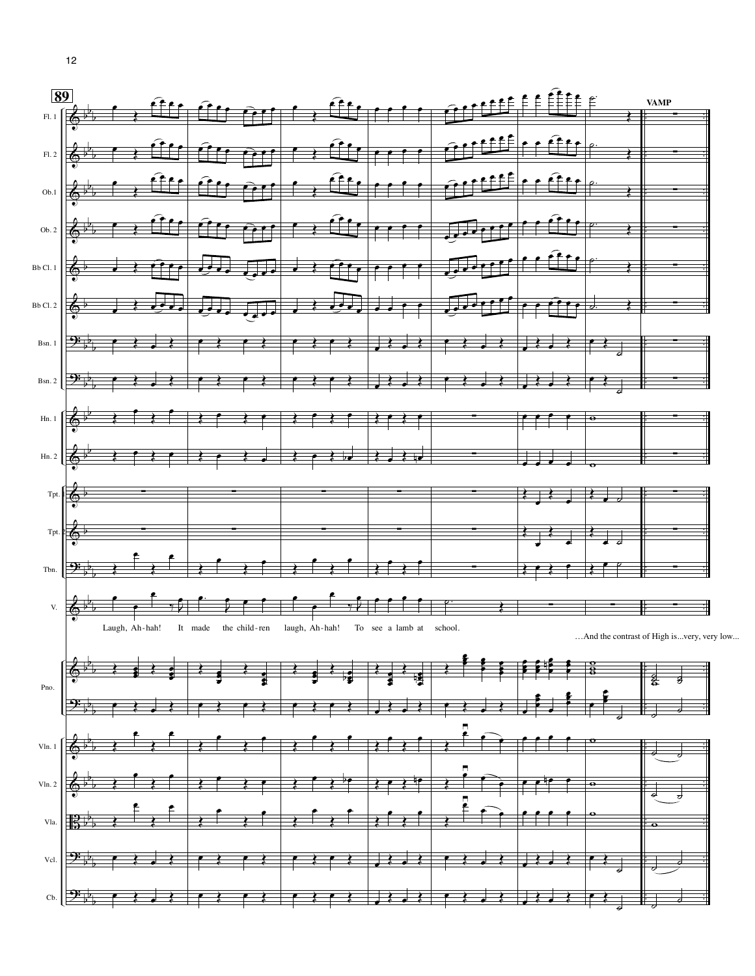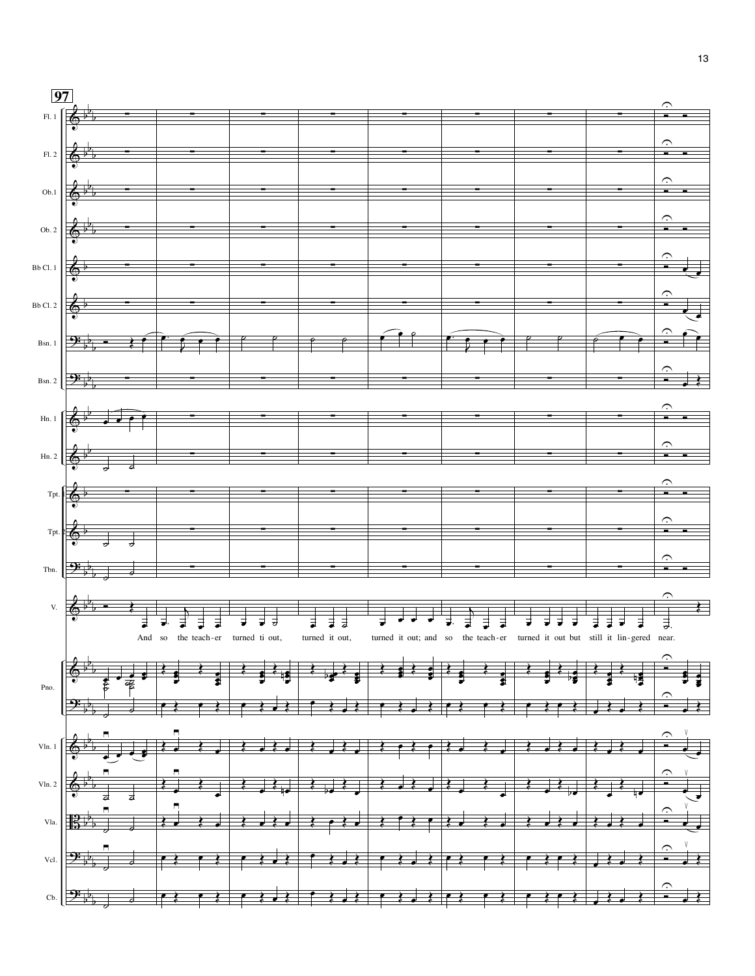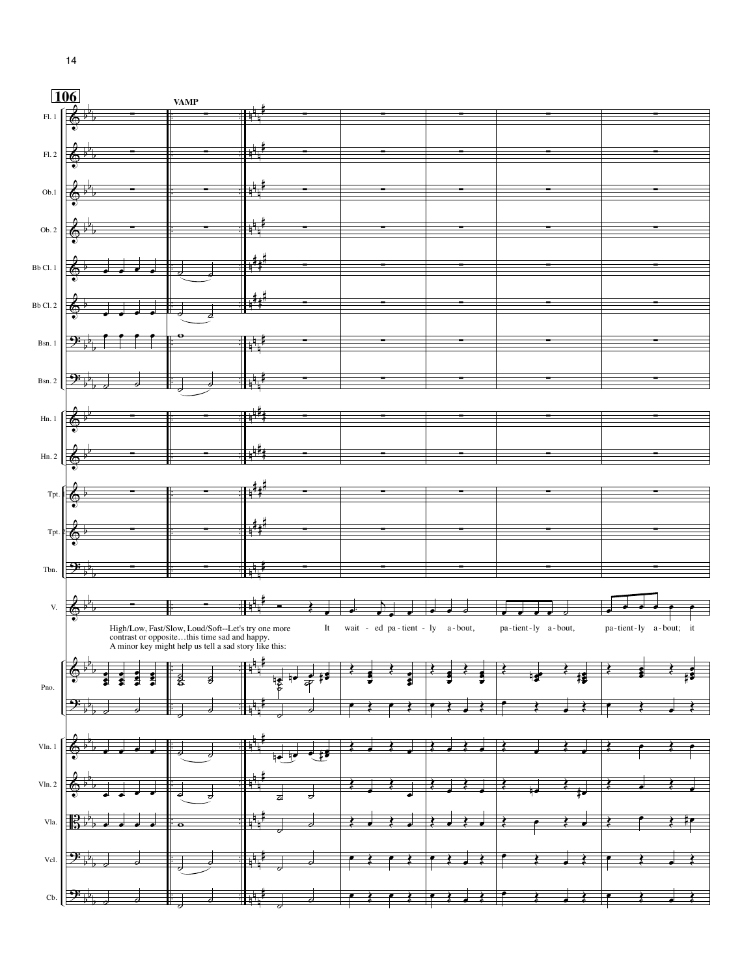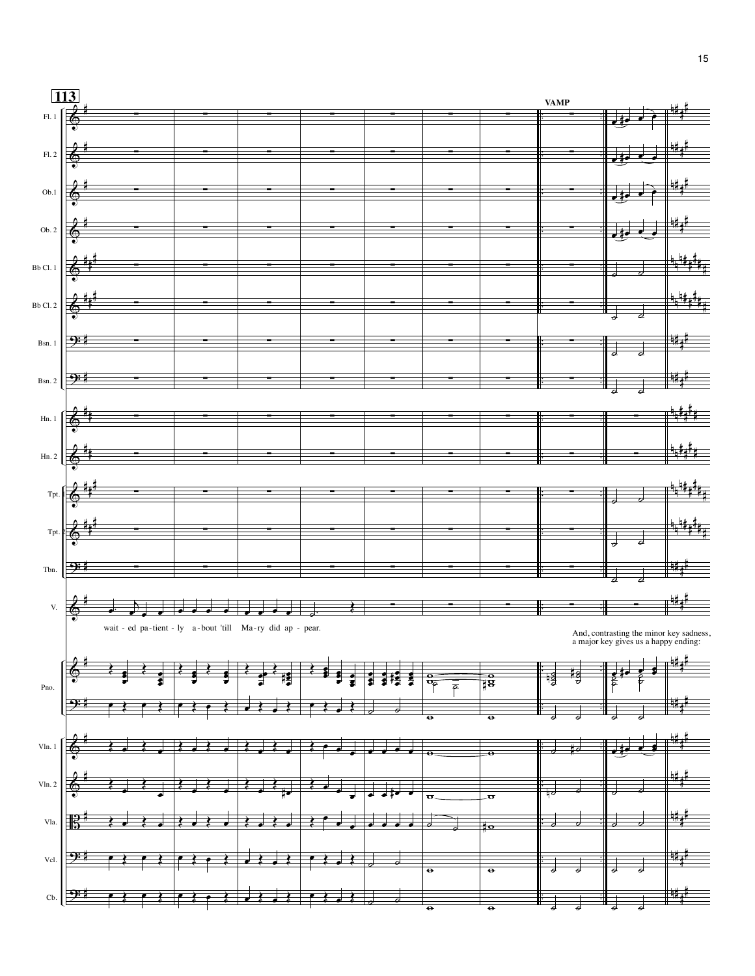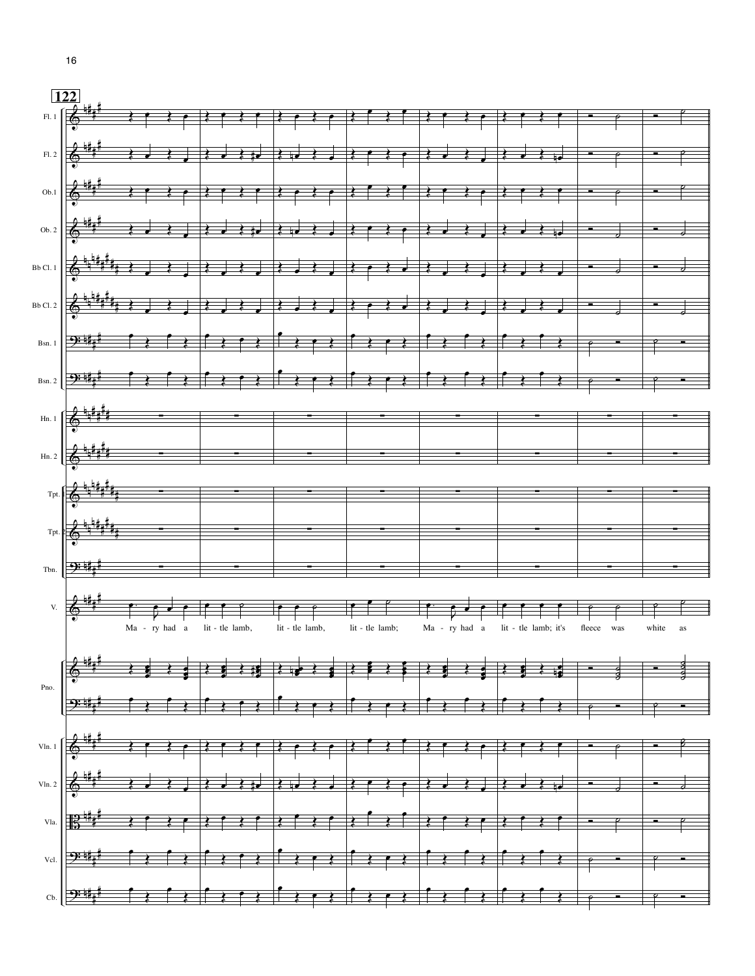